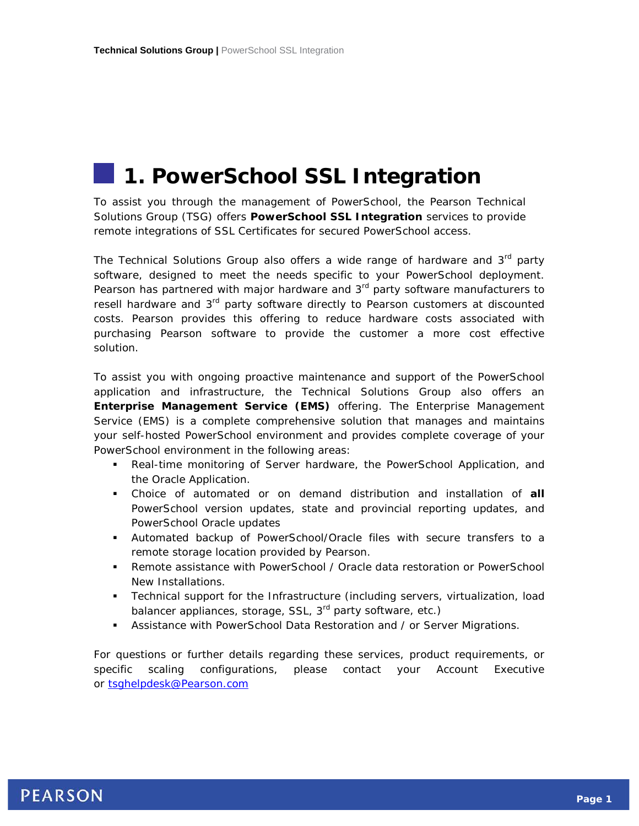# **1. PowerSchool SSL Integration**

To assist you through the management of PowerSchool, the Pearson Technical Solutions Group (TSG) offers **PowerSchool SSL Integration** services to provide remote integrations of SSL Certificates for secured PowerSchool access.

The Technical Solutions Group also offers a wide range of hardware and 3<sup>rd</sup> party software, designed to meet the needs specific to your PowerSchool deployment. Pearson has partnered with major hardware and  $3<sup>rd</sup>$  party software manufacturers to resell hardware and 3<sup>rd</sup> party software directly to Pearson customers at discounted costs. Pearson provides this offering to reduce hardware costs associated with purchasing Pearson software to provide the customer a more cost effective solution.

To assist you with ongoing proactive maintenance and support of the PowerSchool application and infrastructure, the Technical Solutions Group also offers an **Enterprise Management Service (EMS)** offering. The Enterprise Management Service (EMS) is a complete comprehensive solution that manages and maintains your self-hosted PowerSchool environment and provides complete coverage of your PowerSchool environment in the following areas:

- Real-time monitoring of Server hardware, the PowerSchool Application, and the Oracle Application.
- Choice of automated or on demand distribution and installation of **all** PowerSchool version updates, state and provincial reporting updates, and PowerSchool Oracle updates
- Automated backup of PowerSchool/Oracle files with secure transfers to a remote storage location provided by Pearson.
- Remote assistance with PowerSchool / Oracle data restoration or PowerSchool New Installations.
- Technical support for the Infrastructure (including servers, virtualization, load balancer appliances, storage, SSL, 3<sup>rd</sup> party software, etc.)
- Assistance with PowerSchool Data Restoration and / or Server Migrations.

For questions or further details regarding these services, product requirements, or specific scaling configurations, please contact your Account Executive or [tsghelpdesk@Pearson.com](mailto:tsghelpdesk@Pearson.com)

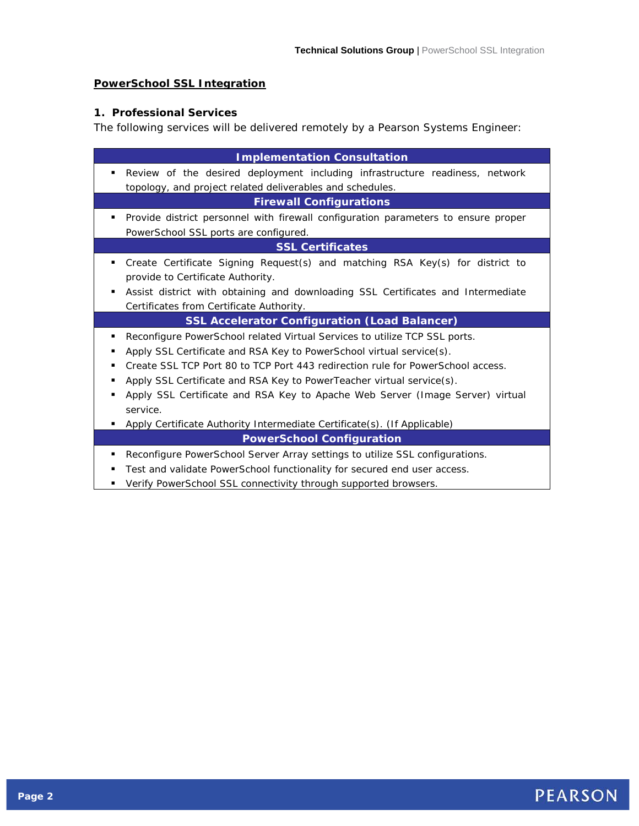### **PowerSchool SSL Integration**

### **1. Professional Services**

The following services will be delivered remotely by a Pearson Systems Engineer:

| <b>Implementation Consultation</b>                                                 |  |  |
|------------------------------------------------------------------------------------|--|--|
| Review of the desired deployment including infrastructure readiness, network<br>٠  |  |  |
| topology, and project related deliverables and schedules.                          |  |  |
| <b>Firewall Configurations</b>                                                     |  |  |
| Provide district personnel with firewall configuration parameters to ensure proper |  |  |
| PowerSchool SSL ports are configured.                                              |  |  |
| <b>SSL Certificates</b>                                                            |  |  |
| Create Certificate Signing Request(s) and matching RSA Key(s) for district to<br>٠ |  |  |
| provide to Certificate Authority.                                                  |  |  |
| Assist district with obtaining and downloading SSL Certificates and Intermediate   |  |  |
| Certificates from Certificate Authority.                                           |  |  |
| <b>SSL Accelerator Configuration (Load Balancer)</b>                               |  |  |
| Reconfigure PowerSchool related Virtual Services to utilize TCP SSL ports.         |  |  |
| Apply SSL Certificate and RSA Key to PowerSchool virtual service(s).               |  |  |
| Create SSL TCP Port 80 to TCP Port 443 redirection rule for PowerSchool access.    |  |  |
| Apply SSL Certificate and RSA Key to PowerTeacher virtual service(s).              |  |  |
| Apply SSL Certificate and RSA Key to Apache Web Server (Image Server) virtual      |  |  |
| service.                                                                           |  |  |
| Apply Certificate Authority Intermediate Certificate(s). (If Applicable)           |  |  |
| <b>PowerSchool Configuration</b>                                                   |  |  |
| Reconfigure PowerSchool Server Array settings to utilize SSL configurations.<br>٠  |  |  |
| Test and validate PowerSchool functionality for secured end user access.<br>٠      |  |  |
| Verify PowerSchool SSL connectivity through supported browsers.                    |  |  |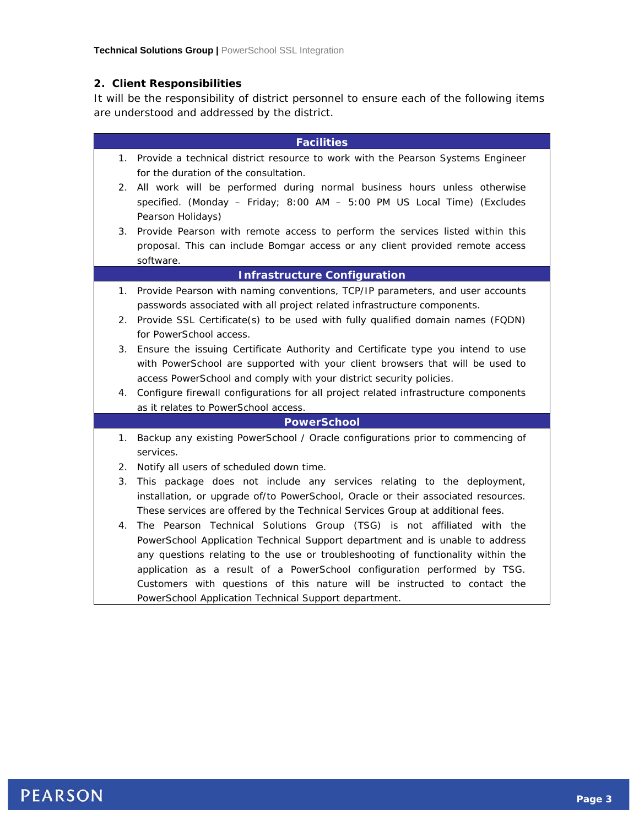### **2. Client Responsibilities**

It will be the responsibility of district personnel to ensure each of the following items are understood and addressed by the district.

| <b>Facilities</b>                   |                                                                                     |  |
|-------------------------------------|-------------------------------------------------------------------------------------|--|
|                                     | 1. Provide a technical district resource to work with the Pearson Systems Engineer  |  |
|                                     | for the duration of the consultation.                                               |  |
| 2.                                  | All work will be performed during normal business hours unless otherwise            |  |
|                                     | specified. (Monday - Friday; 8:00 AM - 5:00 PM US Local Time) (Excludes             |  |
|                                     | Pearson Holidays)                                                                   |  |
| 3.                                  | Provide Pearson with remote access to perform the services listed within this       |  |
|                                     | proposal. This can include Bomgar access or any client provided remote access       |  |
|                                     | software.                                                                           |  |
| <b>Infrastructure Configuration</b> |                                                                                     |  |
|                                     | 1. Provide Pearson with naming conventions, TCP/IP parameters, and user accounts    |  |
|                                     | passwords associated with all project related infrastructure components.            |  |
| 2.                                  | Provide SSL Certificate(s) to be used with fully qualified domain names (FQDN)      |  |
|                                     | for PowerSchool access.                                                             |  |
| 3.                                  | Ensure the issuing Certificate Authority and Certificate type you intend to use     |  |
|                                     | with PowerSchool are supported with your client browsers that will be used to       |  |
|                                     | access PowerSchool and comply with your district security policies.                 |  |
| 4.                                  | Configure firewall configurations for all project related infrastructure components |  |
|                                     | as it relates to PowerSchool access.                                                |  |
| <b>PowerSchool</b>                  |                                                                                     |  |
| 1.                                  | Backup any existing PowerSchool / Oracle configurations prior to commencing of      |  |
|                                     | services.                                                                           |  |
| 2.                                  | Notify all users of scheduled down time.                                            |  |
| 3.                                  | This package does not include any services relating to the deployment,              |  |
|                                     | installation, or upgrade of/to PowerSchool, Oracle or their associated resources.   |  |
|                                     | These services are offered by the Technical Services Group at additional fees.      |  |
| 4.                                  | The Pearson Technical Solutions Group (TSG) is not affiliated with the              |  |
|                                     | PowerSchool Application Technical Support department and is unable to address       |  |
|                                     | any questions relating to the use or troubleshooting of functionality within the    |  |
|                                     | application as a result of a PowerSchool configuration performed by TSG.            |  |
|                                     | Customers with questions of this nature will be instructed to contact the           |  |
|                                     | PowerSchool Application Technical Support department.                               |  |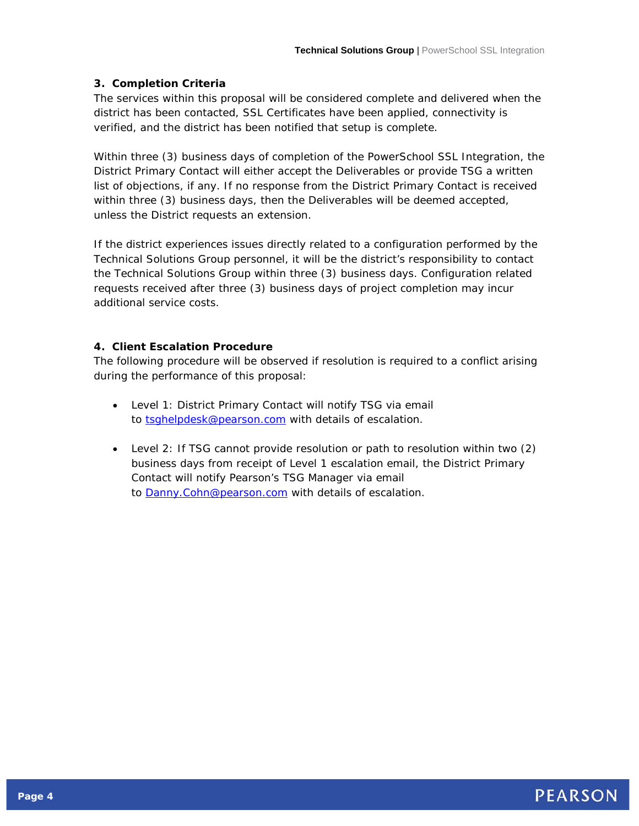### **3. Completion Criteria**

The services within this proposal will be considered complete and delivered when the district has been contacted, SSL Certificates have been applied, connectivity is verified, and the district has been notified that setup is complete.

Within three (3) business days of completion of the PowerSchool SSL Integration, the District Primary Contact will either accept the Deliverables or provide TSG a written list of objections, if any. If no response from the District Primary Contact is received within three (3) business days, then the Deliverables will be deemed accepted, unless the District requests an extension.

If the district experiences issues directly related to a configuration performed by the Technical Solutions Group personnel, it will be the district's responsibility to contact the Technical Solutions Group within three (3) business days. Configuration related requests received after three (3) business days of project completion may incur additional service costs.

## **4. Client Escalation Procedure**

The following procedure will be observed if resolution is required to a conflict arising during the performance of this proposal:

- Level 1: District Primary Contact will notify TSG via email to [tsghelpdesk@pearson.com](mailto:tsghelpdesk@pearson.com) with details of escalation.
- Level 2: If TSG cannot provide resolution or path to resolution within two (2) business days from receipt of Level 1 escalation email, the District Primary Contact will notify Pearson's TSG Manager via email to **Danny.Cohn@pearson.com** with details of escalation.